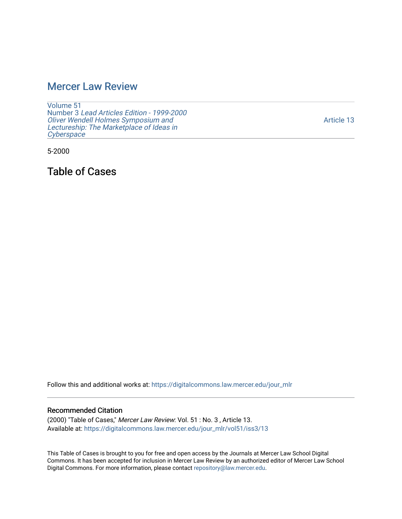## [Mercer Law Review](https://digitalcommons.law.mercer.edu/jour_mlr)

[Volume 51](https://digitalcommons.law.mercer.edu/jour_mlr/vol51) Number 3 [Lead Articles Edition - 1999-2000](https://digitalcommons.law.mercer.edu/jour_mlr/vol51/iss3) [Oliver Wendell Holmes Symposium and](https://digitalcommons.law.mercer.edu/jour_mlr/vol51/iss3)  [Lectureship: The Marketplace of Ideas in](https://digitalcommons.law.mercer.edu/jour_mlr/vol51/iss3) **[Cyberspace](https://digitalcommons.law.mercer.edu/jour_mlr/vol51/iss3)** 

5-2000

Table of Cases

Follow this and additional works at: [https://digitalcommons.law.mercer.edu/jour\\_mlr](https://digitalcommons.law.mercer.edu/jour_mlr?utm_source=digitalcommons.law.mercer.edu%2Fjour_mlr%2Fvol51%2Fiss3%2F13&utm_medium=PDF&utm_campaign=PDFCoverPages)

## Recommended Citation

(2000) "Table of Cases," Mercer Law Review: Vol. 51 : No. 3 , Article 13. Available at: [https://digitalcommons.law.mercer.edu/jour\\_mlr/vol51/iss3/13](https://digitalcommons.law.mercer.edu/jour_mlr/vol51/iss3/13?utm_source=digitalcommons.law.mercer.edu%2Fjour_mlr%2Fvol51%2Fiss3%2F13&utm_medium=PDF&utm_campaign=PDFCoverPages) 

This Table of Cases is brought to you for free and open access by the Journals at Mercer Law School Digital Commons. It has been accepted for inclusion in Mercer Law Review by an authorized editor of Mercer Law School Digital Commons. For more information, please contact [repository@law.mercer.edu](mailto:repository@law.mercer.edu).

[Article 13](https://digitalcommons.law.mercer.edu/jour_mlr/vol51/iss3/13)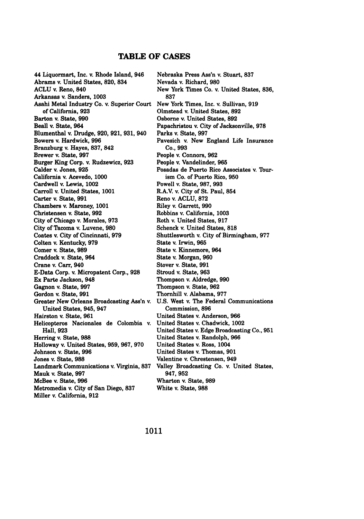## **TABLE OF CASES**

44 Liquormart, Inc. v. Rhode Island, 946 Abrams v. United States, **820,** 834 **ACLU** v. Reno, 840 Arkansas v. Sanders, **1003** Asahi Metal Industry Co. v. Superior Court of California, **923** Barton v. State, **990** Beall v. State, 964 Blumenthal v. Drudge, **920, 921, 931,** 940 Bowers v. Hardwick, **996** Branzburg v. Hayes, **837,** 842 Brewer v. State, **997** Burger King Corp. v. Rudzewicz, **923** Calder v. Jones, **925** California v. Acevedo, **1000** Cardwell v. Lewis, 1002 Carroll v. United States, **1001** Carter v. State, **991** Chambers v. Maroney, **1001** Christensen v. State, **992** City of Chicago v. Morales, **973** City of Tacoma v. Luvene, **980** Coates v. City of Cincinnati, **979** Colten v. Kentucky, **979** Comer v. State, **989** Craddock v. State, 964 Crane v. Carr, 940 E-Data Corp. v. Micropatent Corp., **928** Ex Parte Jackson, 948 Gagnon v. State, **997** Gordon v. State, **991** Greater New Orleans Broadcasting Ass'n v. United States, 945, 947 Hairston v. State, **961** Helicopteros Nacionales de Colombia v. Hall, **923** Herring v. State, **988** Holloway v. United States, **959, 967, 970** Johnson v. State, **996** Jones v. State, **988** Landmark Communications v. Virginia, **837** Mauk v. State, **997** McBee v. State, **996** Metromedia v. City of San Diego, **837** Miller v. California, **912**

Nebraska Press Ass'n v. Stuart, **837** Nevada v. Richard, **980** New York **Times Co.** v. United States, **836, 837** New York Times, Inc. v. Sullivan, **919** Olmstead v. United States, **892** Osborne v. United States, **892** Papachristou v. City of Jacksonville, **978** Parks v. State, **997** Pavesich v. New England Life Insurance **Co., 993** People v. Connors, **962** People v. Vandelinder, **965** Posadas de Puerto Rico Associates v. Tourism Co. of Puerto Rico, **950** Powell v. State, **987, 993** R.A.V. v. City of St. Paul, 854 Reno v. **ACLU, 872** Riley v. Garrett, **990** Robbins v. California, **1003** Roth v. United States, **917** Schenck v. United States, **818** Shuttlesworth v. City of Birmingham, **977** State v. Irwin, **965** State v. Kinnemore, 964 State v. Morgan, **960** Stover v. State, **991** Stroud v. State, **963** Thompson v. Aldredge, **990** Thompson v. State, **962** Thornhill v. Alabama, **977 U.S.** West v. The Federal Communications Commission, **896** United States v. Anderson, **966** United States v. Chadwick, 1002 United States v. Edge Broadcasting Co., **951** United States v. Randolph, **966** United States v. Ross, 1004 United States v. Thomas, **901** Valentine v. Chrestensen, 949 Valley Broadcasting Co. v. United States, **947, 952** Wharton v. State, **989** White v. State, **988**